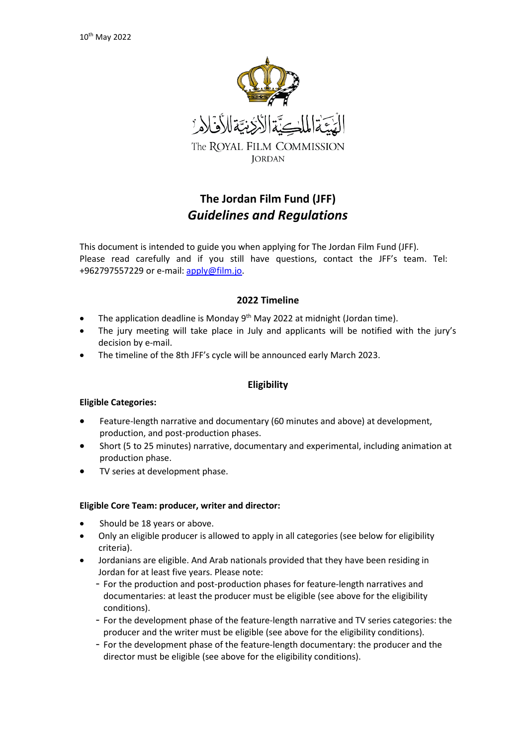

# **The Jordan Film Fund (JFF)** *Guidelines and Regulations*

This document is intended to guide you when applying for The Jordan Film Fund (JFF). Please read carefully and if you still have questions, contact the JFF's team. Tel: +962797557229 or e-mail[: apply@film.jo.](mailto:apply@film.jo)

# **2022 Timeline**

- The application deadline is Monday 9<sup>th</sup> May 2022 at midnight (Jordan time).
- The jury meeting will take place in July and applicants will be notified with the jury's decision by e-mail.
- The timeline of the 8th JFF's cycle will be announced early March 2023.

# **Eligibility**

## **Eligible Categories:**

- Feature-length narrative and documentary (60 minutes and above) at development, production, and post-production phases.
- Short (5 to 25 minutes) narrative, documentary and experimental, including animation at production phase.
- TV series at development phase.

## **Eligible Core Team: producer, writer and director:**

- Should be 18 years or above.
- Only an eligible producer is allowed to apply in all categories (see below for eligibility criteria).
- Jordanians are eligible. And Arab nationals provided that they have been residing in Jordan for at least five years. Please note:
	- For the production and post-production phases for feature-length narratives and documentaries: at least the producer must be eligible (see above for the eligibility conditions).
	- For the development phase of the feature-length narrative and TV series categories: the producer and the writer must be eligible (see above for the eligibility conditions).
	- For the development phase of the feature-length documentary: the producer and the director must be eligible (see above for the eligibility conditions).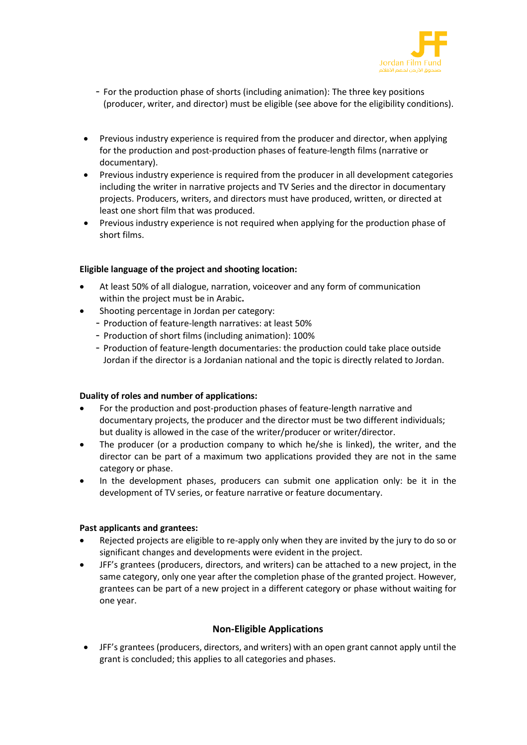

- For the production phase of shorts (including animation): The three key positions (producer, writer, and director) must be eligible (see above for the eligibility conditions).
- Previous industry experience is required from the producer and director, when applying for the production and post-production phases of feature-length films (narrative or documentary).
- Previous industry experience is required from the producer in all development categories including the writer in narrative projects and TV Series and the director in documentary projects. Producers, writers, and directors must have produced, written, or directed at least one short film that was produced.
- Previous industry experience is not required when applying for the production phase of short films.

## **Eligible language of the project and shooting location:**

- At least 50% of all dialogue, narration, voiceover and any form of communication within the project must be in Arabic**.**
- Shooting percentage in Jordan per category:
	- Production of feature-length narratives: at least 50%
	- Production of short films (including animation): 100%
	- Production of feature-length documentaries: the production could take place outside Jordan if the director is a Jordanian national and the topic is directly related to Jordan.

## **Duality of roles and number of applications:**

- For the production and post-production phases of feature-length narrative and documentary projects, the producer and the director must be two different individuals; but duality is allowed in the case of the writer/producer or writer/director.
- The producer (or a production company to which he/she is linked), the writer, and the director can be part of a maximum two applications provided they are not in the same category or phase.
- In the development phases, producers can submit one application only: be it in the development of TV series, or feature narrative or feature documentary.

## **Past applicants and grantees:**

- Rejected projects are eligible to re-apply only when they are invited by the jury to do so or significant changes and developments were evident in the project.
- JFF's grantees (producers, directors, and writers) can be attached to a new project, in the same category, only one year after the completion phase of the granted project. However, grantees can be part of a new project in a different category or phase without waiting for one year.

# **Non-Eligible Applications**

• JFF's grantees (producers, directors, and writers) with an open grant cannot apply until the grant is concluded; this applies to all categories and phases.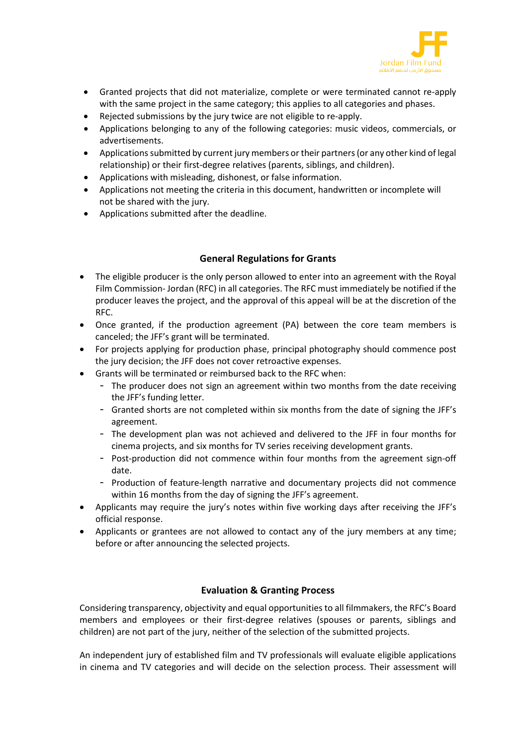

- Granted projects that did not materialize, complete or were terminated cannot re-apply with the same project in the same category; this applies to all categories and phases.
- Rejected submissions by the jury twice are not eligible to re-apply.
- Applications belonging to any of the following categories: music videos, commercials, or advertisements.
- Applications submitted by current jury members or their partners (or any other kind of legal relationship) or their first-degree relatives (parents, siblings, and children).
- Applications with misleading, dishonest, or false information.
- Applications not meeting the criteria in this document, handwritten or incomplete will not be shared with the jury.
- Applications submitted after the deadline.

# **General Regulations for Grants**

- The eligible producer is the only person allowed to enter into an agreement with the Royal Film Commission- Jordan (RFC) in all categories. The RFC must immediately be notified if the producer leaves the project, and the approval of this appeal will be at the discretion of the RFC.
- Once granted, if the production agreement (PA) between the core team members is canceled; the JFF's grant will be terminated.
- For projects applying for production phase, principal photography should commence post the jury decision; the JFF does not cover retroactive expenses.
- Grants will be terminated or reimbursed back to the RFC when:
	- The producer does not sign an agreement within two months from the date receiving the JFF's funding letter.
	- Granted shorts are not completed within six months from the date of signing the JFF's agreement.
	- The development plan was not achieved and delivered to the JFF in four months for cinema projects, and six months for TV series receiving development grants.
	- Post-production did not commence within four months from the agreement sign-off date.
	- Production of feature-length narrative and documentary projects did not commence within 16 months from the day of signing the JFF's agreement.
- Applicants may require the jury's notes within five working days after receiving the JFF's official response.
- Applicants or grantees are not allowed to contact any of the jury members at any time; before or after announcing the selected projects.

# **Evaluation & Granting Process**

Considering transparency, objectivity and equal opportunities to all filmmakers, the RFC's Board members and employees or their first-degree relatives (spouses or parents, siblings and children) are not part of the jury, neither of the selection of the submitted projects.

An independent jury of established film and TV professionals will evaluate eligible applications in cinema and TV categories and will decide on the selection process. Their assessment will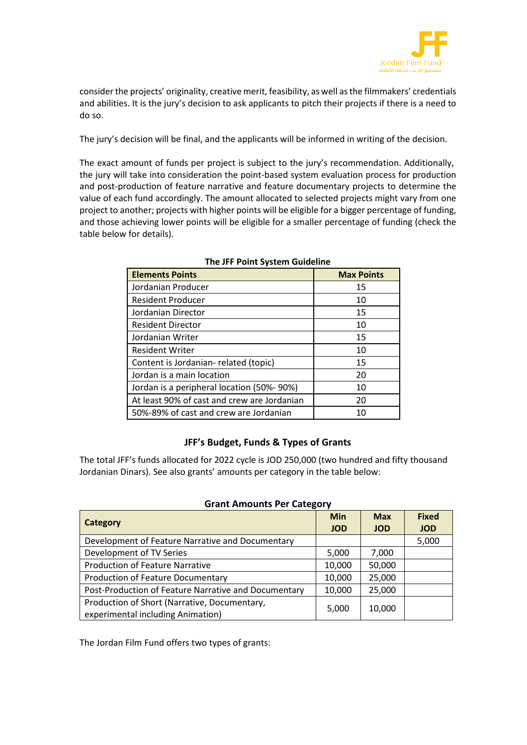

consider the projects' originality, creative merit, feasibility, as well as the filmmakers' credentials and abilities. It is the jury's decision to ask applicants to pitch their projects if there is a need to do so.

The jury's decision will be final, and the applicants will be informed in writing of the decision.

The exact amount of funds per project is subject to the jury's recommendation. Additionally, the jury will take into consideration the point-based system evaluation process for production and post-production of feature narrative and feature documentary projects to determine the value of each fund accordingly. The amount allocated to selected projects might vary from one project to another; projects with higher points will be eligible for a bigger percentage of funding, and those achieving lower points will be eligible for a smaller percentage of funding (check the table below for details).

| <b>Elements Points</b>                      | <b>Max Points</b> |
|---------------------------------------------|-------------------|
| Jordanian Producer                          | 15                |
| <b>Resident Producer</b>                    | 10                |
| Jordanian Director                          | 15                |
| <b>Resident Director</b>                    | 10                |
| Jordanian Writer                            | 15                |
| <b>Resident Writer</b>                      | 10                |
| Content is Jordanian-related (topic)        | 15                |
| Jordan is a main location                   | 20                |
| Jordan is a peripheral location (50%-90%)   | 10                |
| At least 90% of cast and crew are Jordanian | 20                |
| 50%-89% of cast and crew are Jordanian      | 10                |

## **The JFF Point System Guideline**

# **JFF's Budget, Funds & Types of Grants**

The total JFF's funds allocated for 2022 cycle is JOD 250,000 (two hundred and fifty thousand Jordanian Dinars). See also grants' amounts per category in the table below:

## **Grant Amounts Per Category**

| Category                                                                          | <b>Min</b><br><b>JOD</b> | <b>Max</b><br><b>JOD</b> | <b>Fixed</b><br><b>JOD</b> |
|-----------------------------------------------------------------------------------|--------------------------|--------------------------|----------------------------|
| Development of Feature Narrative and Documentary                                  |                          |                          | 5,000                      |
| Development of TV Series                                                          | 5,000                    | 7,000                    |                            |
| <b>Production of Feature Narrative</b>                                            | 10,000                   | 50,000                   |                            |
| <b>Production of Feature Documentary</b>                                          | 10,000                   | 25,000                   |                            |
| Post-Production of Feature Narrative and Documentary                              | 10,000                   | 25,000                   |                            |
| Production of Short (Narrative, Documentary,<br>experimental including Animation) | 5,000                    | 10,000                   |                            |

The Jordan Film Fund offers two types of grants: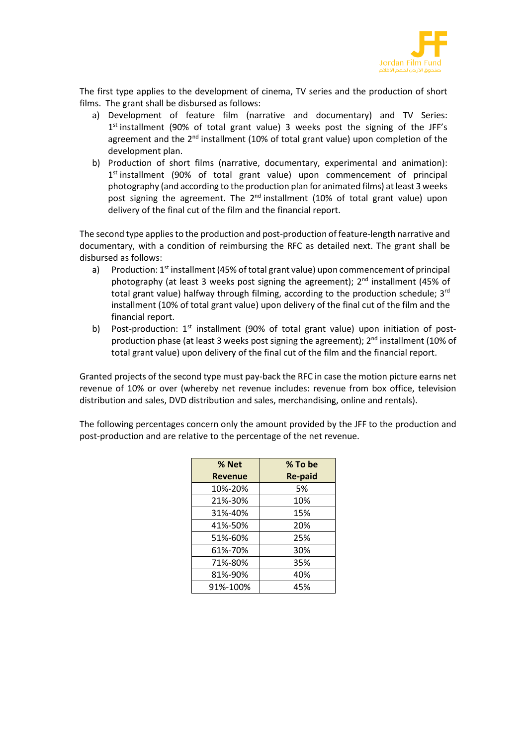

The first type applies to the development of cinema, TV series and the production of short films. The grant shall be disbursed as follows:

- a) Development of feature film (narrative and documentary) and TV Series:  $1<sup>st</sup>$  installment (90% of total grant value) 3 weeks post the signing of the JFF's agreement and the  $2<sup>nd</sup>$  installment (10% of total grant value) upon completion of the development plan.
- b) Production of short films (narrative, documentary, experimental and animation):  $1<sup>st</sup>$  installment (90% of total grant value) upon commencement of principal photography (and according to the production plan for animated films) at least 3 weeks post signing the agreement. The 2<sup>nd</sup> installment (10% of total grant value) upon delivery of the final cut of the film and the financial report.

The second type applies to the production and post-production of feature-length narrative and documentary, with a condition of reimbursing the RFC as detailed next. The grant shall be disbursed as follows:

- a) Production: 1<sup>st</sup> installment (45% of total grant value) upon commencement of principal photography (at least 3 weeks post signing the agreement);  $2<sup>nd</sup>$  installment (45% of total grant value) halfway through filming, according to the production schedule; 3<sup>rd</sup> installment (10% of total grant value) upon delivery of the final cut of the film and the financial report.
- b) Post-production: 1<sup>st</sup> installment (90% of total grant value) upon initiation of postproduction phase (at least 3 weeks post signing the agreement);  $2^{nd}$  installment (10% of total grant value) upon delivery of the final cut of the film and the financial report.

Granted projects of the second type must pay-back the RFC in case the motion picture earns net revenue of 10% or over (whereby net revenue includes: revenue from box office, television distribution and sales, DVD distribution and sales, merchandising, online and rentals).

The following percentages concern only the amount provided by the JFF to the production and post-production and are relative to the percentage of the net revenue.

| % Net          | % To be        |
|----------------|----------------|
| <b>Revenue</b> | <b>Re-paid</b> |
| 10%-20%        | 5%             |
| 21%-30%        | 10%            |
| 31%-40%        | 15%            |
| 41%-50%        | 20%            |
| 51%-60%        | 25%            |
| 61%-70%        | 30%            |
| 71%-80%        | 35%            |
| 81%-90%        | 40%            |
| 91%-100%       | 45%            |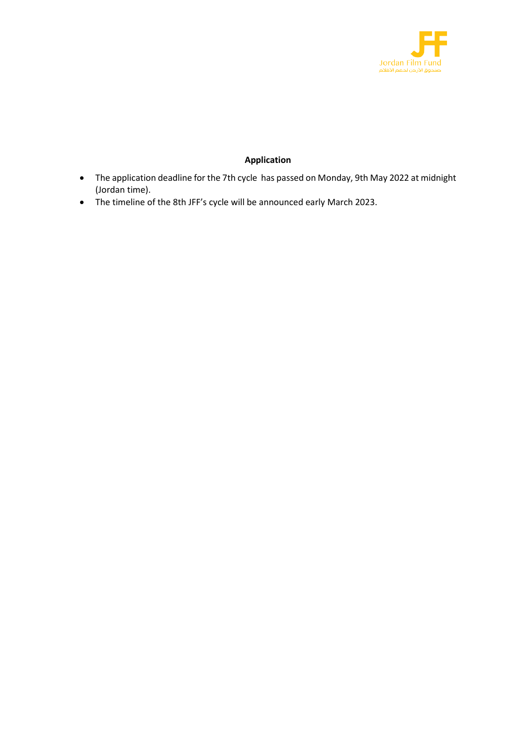

# **Application**

- The application deadline for the 7th cycle has passed on Monday, 9th May 2022 at midnight (Jordan time).
- The timeline of the 8th JFF's cycle will be announced early March 2023.